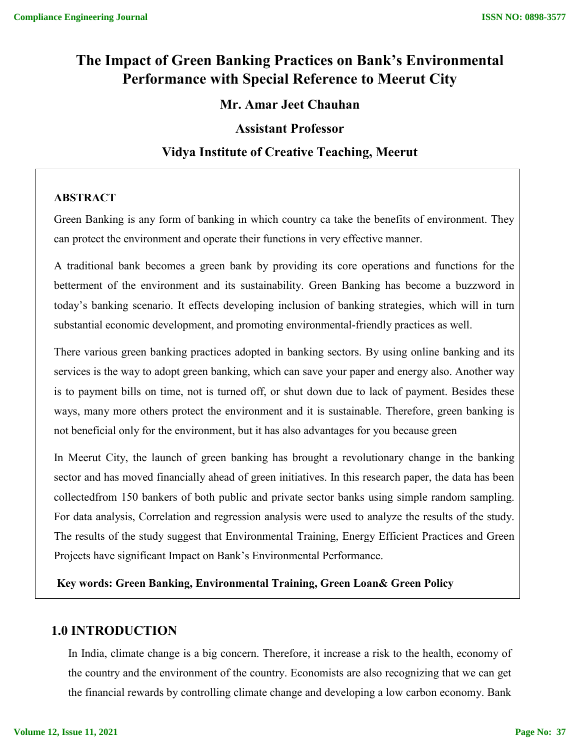# **The Impact of Green Banking Practices on Bank's Environmental Performance with Special Reference to Meerut City**

## **Mr. Amar Jeet Chauhan**

### **Assistant Professor**

## **Vidya Institute of Creative Teaching, Meerut**

#### **ABSTRACT**

Green Banking is any form of banking in which country ca take the benefits of environment. They can protect the environment and operate their functions in very effective manner.

A traditional bank becomes a green bank by providing its core operations and functions for the betterment of the environment and its sustainability. Green Banking has become a buzzword in today's banking scenario. It effects developing inclusion of banking strategies, which will in turn substantial economic development, and promoting environmental-friendly practices as well.

There various green banking practices adopted in banking sectors. By using online banking and its services is the way to adopt green banking, which can save your paper and energy also. Another way is to payment bills on time, not is turned off, or shut down due to lack of payment. Besides these ways, many more others protect the environment and it is sustainable. Therefore, green banking is not beneficial only for the environment, but it has also advantages for you because green

In Meerut City, the launch of green banking has brought a revolutionary change in the banking sector and has moved financially ahead of green initiatives. In this research paper, the data has been collectedfrom 150 bankers of both public and private sector banks using simple random sampling. For data analysis, Correlation and regression analysis were used to analyze the results of the study. The results of the study suggest that Environmental Training, Energy Efficient Practices and Green Projects have significant Impact on Bank's Environmental Performance.

**Key words: Green Banking, Environmental Training, Green Loan& Green Policy**

## **1.0 INTRODUCTION**

In India, climate change is a big concern. Therefore, it increase a risk to the health, economy of the country and the environment of the country. Economists are also recognizing that we can get the financial rewards by controlling climate change and developing a low carbon economy. Bank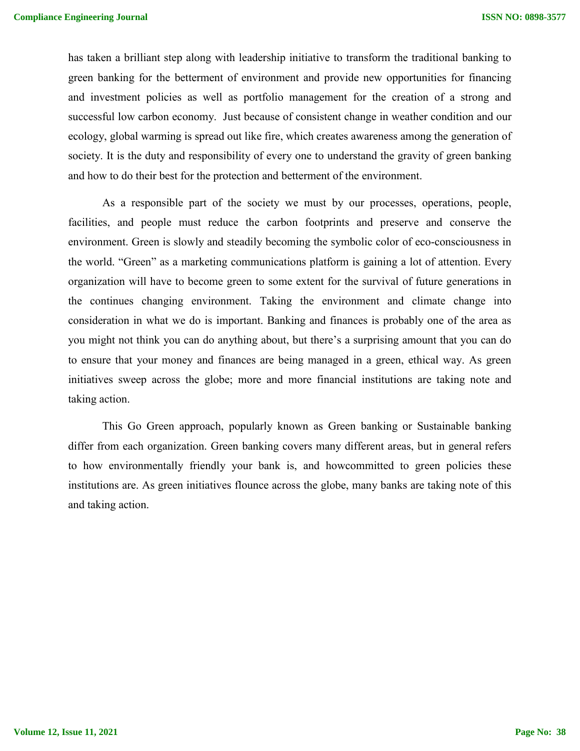has taken a brilliant step along with leadership initiative to transform the traditional banking to green banking for the betterment of environment and provide new opportunities for financing and investment policies as well as portfolio management for the creation of a strong and successful low carbon economy. Just because of consistent change in weather condition and our ecology, global warming is spread out like fire, which creates awareness among the generation of society. It is the duty and responsibility of every one to understand the gravity of green banking and how to do their best for the protection and betterment of the environment.

As a responsible part of the society we must by our processes, operations, people, facilities, and people must reduce the carbon footprints and preserve and conserve the environment. Green is slowly and steadily becoming the symbolic color of eco-consciousness in the world. "Green" as a marketing communications platform is gaining a lot of attention. Every organization will have to become green to some extent for the survival of future generations in the continues changing environment. Taking the environment and climate change into consideration in what we do is important. Banking and finances is probably one of the area as you might not think you can do anything about, but there's a surprising amount that you can do to ensure that your money and finances are being managed in a green, ethical way. As green initiatives sweep across the globe; more and more financial institutions are taking note and taking action.

This Go Green approach, popularly known as Green banking or Sustainable banking differ from each organization. Green banking covers many different areas, but in general refers to how environmentally friendly your bank is, and howcommitted to green policies these institutions are. As green initiatives flounce across the globe, many banks are taking note of this and taking action.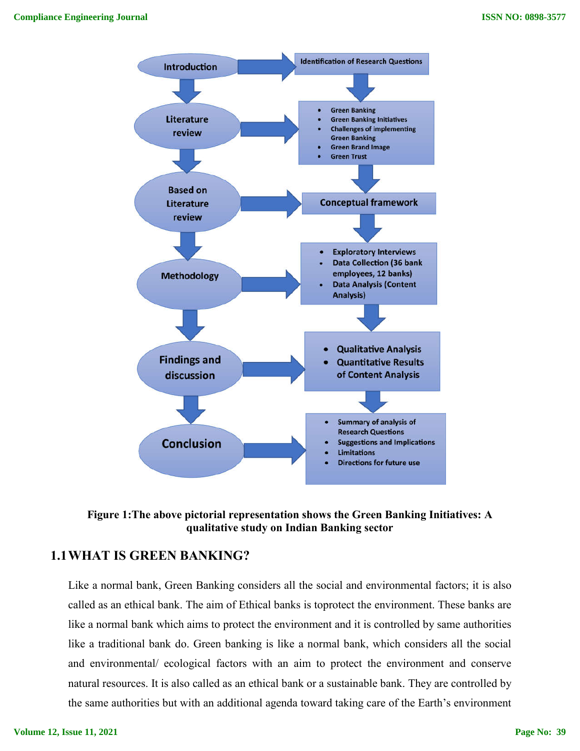

**Figure 1:The above pictorial representation shows the Green Banking Initiatives: A qualitative study on Indian Banking sector**

# **1.1WHAT IS GREEN BANKING?**

Like a normal bank, Green Banking considers all the social and environmental factors; it is also called as an ethical bank. The aim of Ethical banks is toprotect the environment. These banks are like a normal bank which aims to protect the environment and it is controlled by same authorities like a traditional bank do. Green banking is like a normal bank, which considers all the social and environmental/ ecological factors with an aim to protect the environment and conserve natural resources. It is also called as an ethical bank or a sustainable bank. They are controlled by the same authorities but with an additional agenda toward taking care of the Earth's environment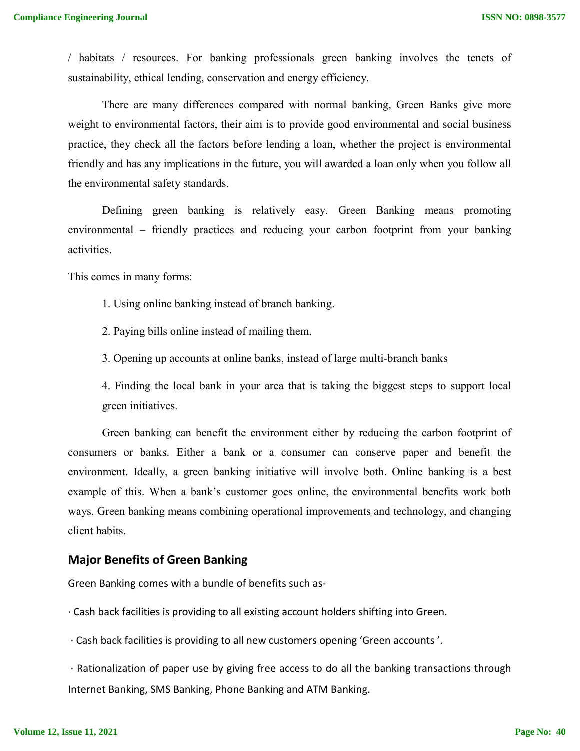/ habitats / resources. For banking professionals green banking involves the tenets of sustainability, ethical lending, conservation and energy efficiency.

There are many differences compared with normal banking, Green Banks give more weight to environmental factors, their aim is to provide good environmental and social business practice, they check all the factors before lending a loan, whether the project is environmental friendly and has any implications in the future, you will awarded a loan only when you follow all the environmental safety standards.

Defining green banking is relatively easy. Green Banking means promoting environmental – friendly practices and reducing your carbon footprint from your banking activities.

This comes in many forms:

- 1. Using online banking instead of branch banking.
- 2. Paying bills online instead of mailing them.
- 3. Opening up accounts at online banks, instead of large multi-branch banks

4. Finding the local bank in your area that is taking the biggest steps to support local green initiatives.

Green banking can benefit the environment either by reducing the carbon footprint of consumers or banks. Either a bank or a consumer can conserve paper and benefit the environment. Ideally, a green banking initiative will involve both. Online banking is a best example of this. When a bank's customer goes online, the environmental benefits work both ways. Green banking means combining operational improvements and technology, and changing client habits.

#### **Major Benefits of Green Banking**

Green Banking comes with a bundle of benefits such as-

· Cash back facilities is providing to all existing account holders shifting into Green.

· Cash back facilities is providing to all new customers opening 'Green accounts '.

· Rationalization of paper use by giving free access to do all the banking transactions through Internet Banking, SMS Banking, Phone Banking and ATM Banking.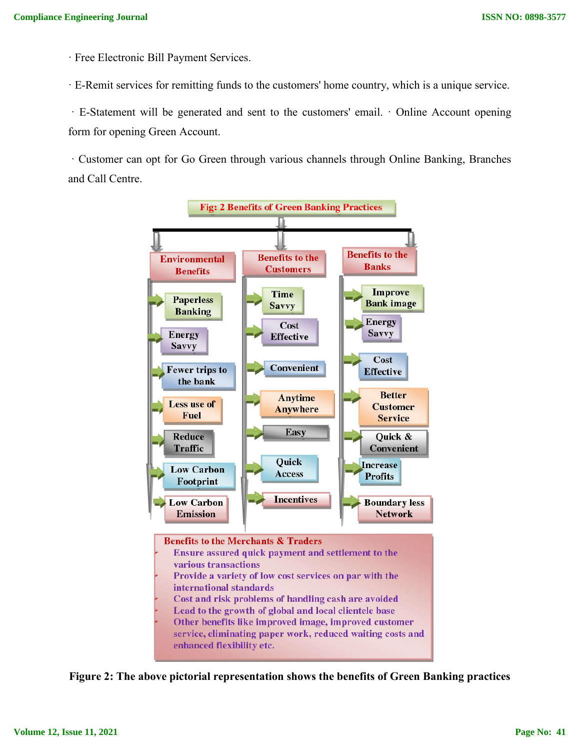· Free Electronic Bill Payment Services.

· E-Remit services for remitting funds to the customers' home country, which is a unique service.

· E-Statement will be generated and sent to the customers' email. · Online Account opening form for opening Green Account.

· Customer can opt for Go Green through various channels through Online Banking, Branches and Call Centre.



**Figure 2: The above pictorial representation shows the benefits of Green Banking practices**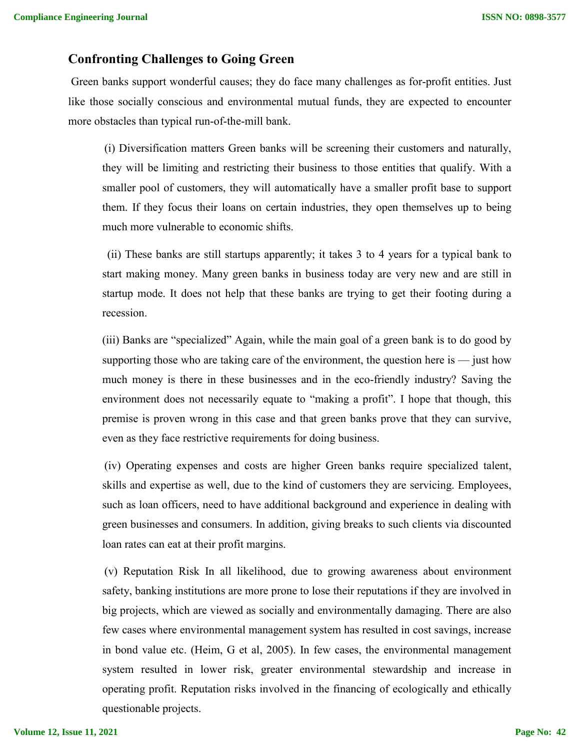## **Confronting Challenges to Going Green**

Green banks support wonderful causes; they do face many challenges as for-profit entities. Just like those socially conscious and environmental mutual funds, they are expected to encounter more obstacles than typical run-of-the-mill bank.

(i) Diversification matters Green banks will be screening their customers and naturally, they will be limiting and restricting their business to those entities that qualify. With a smaller pool of customers, they will automatically have a smaller profit base to support them. If they focus their loans on certain industries, they open themselves up to being much more vulnerable to economic shifts.

(ii) These banks are still startups apparently; it takes 3 to 4 years for a typical bank to start making money. Many green banks in business today are very new and are still in startup mode. It does not help that these banks are trying to get their footing during a recession.

(iii) Banks are "specialized" Again, while the main goal of a green bank is to do good by supporting those who are taking care of the environment, the question here is  $-$  just how much money is there in these businesses and in the eco-friendly industry? Saving the environment does not necessarily equate to "making a profit". I hope that though, this premise is proven wrong in this case and that green banks prove that they can survive, even as they face restrictive requirements for doing business.

(iv) Operating expenses and costs are higher Green banks require specialized talent, skills and expertise as well, due to the kind of customers they are servicing. Employees, such as loan officers, need to have additional background and experience in dealing with green businesses and consumers. In addition, giving breaks to such clients via discounted loan rates can eat at their profit margins.

(v) Reputation Risk In all likelihood, due to growing awareness about environment safety, banking institutions are more prone to lose their reputations if they are involved in big projects, which are viewed as socially and environmentally damaging. There are also few cases where environmental management system has resulted in cost savings, increase in bond value etc. (Heim, G et al, 2005). In few cases, the environmental management system resulted in lower risk, greater environmental stewardship and increase in operating profit. Reputation risks involved in the financing of ecologically and ethically questionable projects.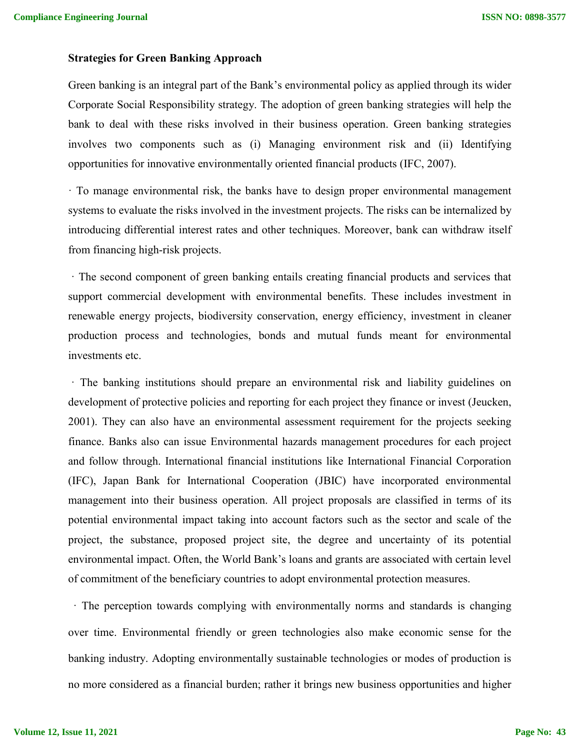#### **Strategies for Green Banking Approach**

Green banking is an integral part of the Bank's environmental policy as applied through its wider Corporate Social Responsibility strategy. The adoption of green banking strategies will help the bank to deal with these risks involved in their business operation. Green banking strategies involves two components such as (i) Managing environment risk and (ii) Identifying opportunities for innovative environmentally oriented financial products (IFC, 2007).

· To manage environmental risk, the banks have to design proper environmental management systems to evaluate the risks involved in the investment projects. The risks can be internalized by introducing differential interest rates and other techniques. Moreover, bank can withdraw itself from financing high-risk projects.

· The second component of green banking entails creating financial products and services that support commercial development with environmental benefits. These includes investment in renewable energy projects, biodiversity conservation, energy efficiency, investment in cleaner production process and technologies, bonds and mutual funds meant for environmental investments etc.

· The banking institutions should prepare an environmental risk and liability guidelines on development of protective policies and reporting for each project they finance or invest (Jeucken, 2001). They can also have an environmental assessment requirement for the projects seeking finance. Banks also can issue Environmental hazards management procedures for each project and follow through. International financial institutions like International Financial Corporation (IFC), Japan Bank for International Cooperation (JBIC) have incorporated environmental management into their business operation. All project proposals are classified in terms of its potential environmental impact taking into account factors such as the sector and scale of the project, the substance, proposed project site, the degree and uncertainty of its potential environmental impact. Often, the World Bank's loans and grants are associated with certain level of commitment of the beneficiary countries to adopt environmental protection measures.

· The perception towards complying with environmentally norms and standards is changing over time. Environmental friendly or green technologies also make economic sense for the banking industry. Adopting environmentally sustainable technologies or modes of production is no more considered as a financial burden; rather it brings new business opportunities and higher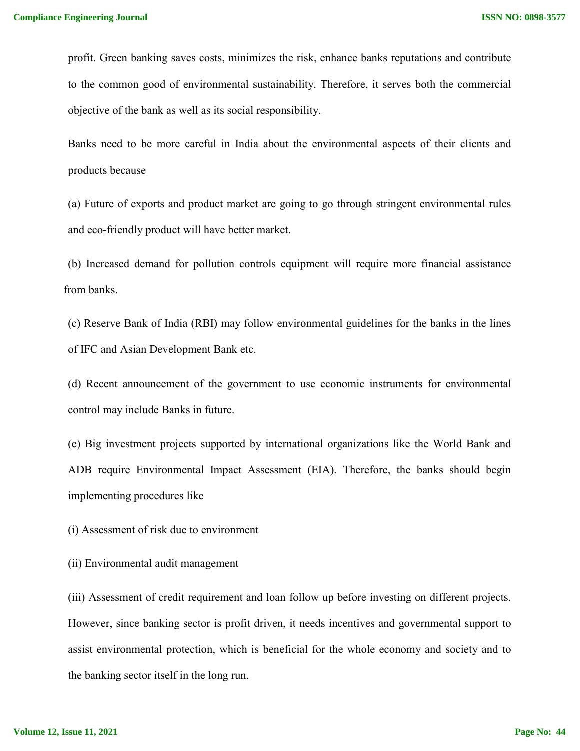profit. Green banking saves costs, minimizes the risk, enhance banks reputations and contribute to the common good of environmental sustainability. Therefore, it serves both the commercial objective of the bank as well as its social responsibility.

Banks need to be more careful in India about the environmental aspects of their clients and products because

(a) Future of exports and product market are going to go through stringent environmental rules and eco-friendly product will have better market.

(b) Increased demand for pollution controls equipment will require more financial assistance from banks.

(c) Reserve Bank of India (RBI) may follow environmental guidelines for the banks in the lines of IFC and Asian Development Bank etc.

(d) Recent announcement of the government to use economic instruments for environmental control may include Banks in future.

(e) Big investment projects supported by international organizations like the World Bank and ADB require Environmental Impact Assessment (EIA). Therefore, the banks should begin implementing procedures like

(i) Assessment of risk due to environment

(ii) Environmental audit management

(iii) Assessment of credit requirement and loan follow up before investing on different projects. However, since banking sector is profit driven, it needs incentives and governmental support to assist environmental protection, which is beneficial for the whole economy and society and to the banking sector itself in the long run.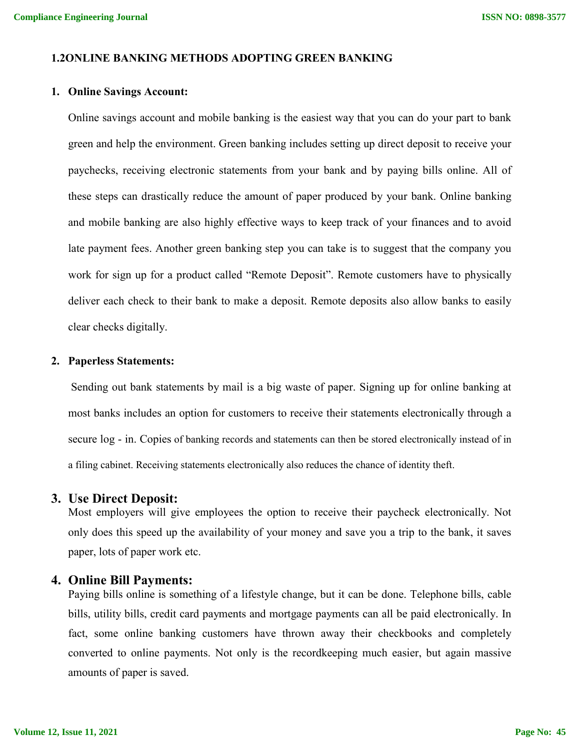#### **1.2ONLINE BANKING METHODS ADOPTING GREEN BANKING**

#### **1. Online Savings Account:**

Online savings account and mobile banking is the easiest way that you can do your part to bank green and help the environment. Green banking includes setting up direct deposit to receive your paychecks, receiving electronic statements from your bank and by paying bills online. All of these steps can drastically reduce the amount of paper produced by your bank. Online banking and mobile banking are also highly effective ways to keep track of your finances and to avoid late payment fees. Another green banking step you can take is to suggest that the company you work for sign up for a product called "Remote Deposit". Remote customers have to physically deliver each check to their bank to make a deposit. Remote deposits also allow banks to easily clear checks digitally.

#### **2. Paperless Statements:**

Sending out bank statements by mail is a big waste of paper. Signing up for online banking at most banks includes an option for customers to receive their statements electronically through a secure log - in. Copies of banking records and statements can then be stored electronically instead of in a filing cabinet. Receiving statements electronically also reduces the chance of identity theft.

#### **3. Use Direct Deposit:**

Most employers will give employees the option to receive their paycheck electronically. Not only does this speed up the availability of your money and save you a trip to the bank, it saves paper, lots of paper work etc.

#### **4. Online Bill Payments:**

Paying bills online is something of a lifestyle change, but it can be done. Telephone bills, cable bills, utility bills, credit card payments and mortgage payments can all be paid electronically. In fact, some online banking customers have thrown away their checkbooks and completely converted to online payments. Not only is the recordkeeping much easier, but again massive amounts of paper is saved.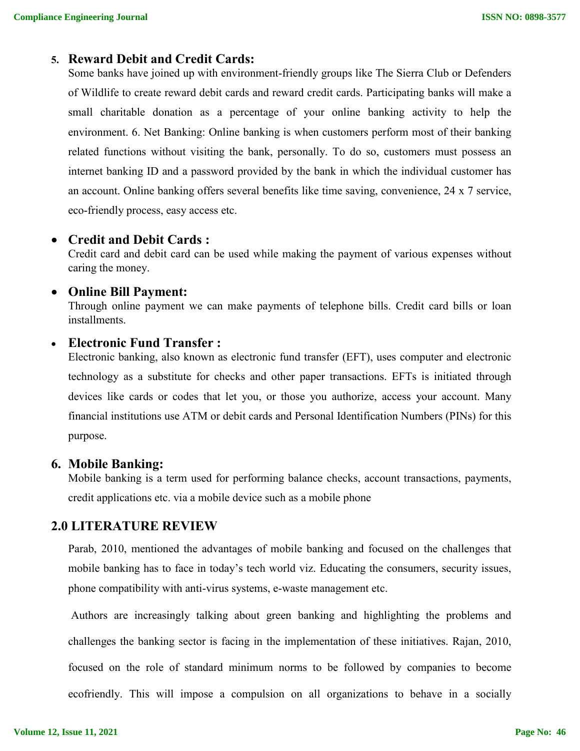## **5. Reward Debit and Credit Cards:**

Some banks have joined up with environment-friendly groups like The Sierra Club or Defenders of Wildlife to create reward debit cards and reward credit cards. Participating banks will make a small charitable donation as a percentage of your online banking activity to help the environment. 6. Net Banking: Online banking is when customers perform most of their banking related functions without visiting the bank, personally. To do so, customers must possess an internet banking ID and a password provided by the bank in which the individual customer has an account. Online banking offers several benefits like time saving, convenience, 24 x 7 service, eco-friendly process, easy access etc.

### **Credit and Debit Cards :**

Credit card and debit card can be used while making the payment of various expenses without caring the money.

## **Online Bill Payment:**

Through online payment we can make payments of telephone bills. Credit card bills or loan installments.

### **Electronic Fund Transfer :**

Electronic banking, also known as electronic fund transfer (EFT), uses computer and electronic technology as a substitute for checks and other paper transactions. EFTs is initiated through devices like cards or codes that let you, or those you authorize, access your account. Many financial institutions use ATM or debit cards and Personal Identification Numbers (PINs) for this purpose.

### **6. Mobile Banking:**

Mobile banking is a term used for performing balance checks, account transactions, payments, credit applications etc. via a mobile device such as a mobile phone

### **2.0 LITERATURE REVIEW**

Parab, 2010, mentioned the advantages of mobile banking and focused on the challenges that mobile banking has to face in today's tech world viz. Educating the consumers, security issues, phone compatibility with anti-virus systems, e-waste management etc.

Authors are increasingly talking about green banking and highlighting the problems and challenges the banking sector is facing in the implementation of these initiatives. Rajan, 2010, focused on the role of standard minimum norms to be followed by companies to become ecofriendly. This will impose a compulsion on all organizations to behave in a socially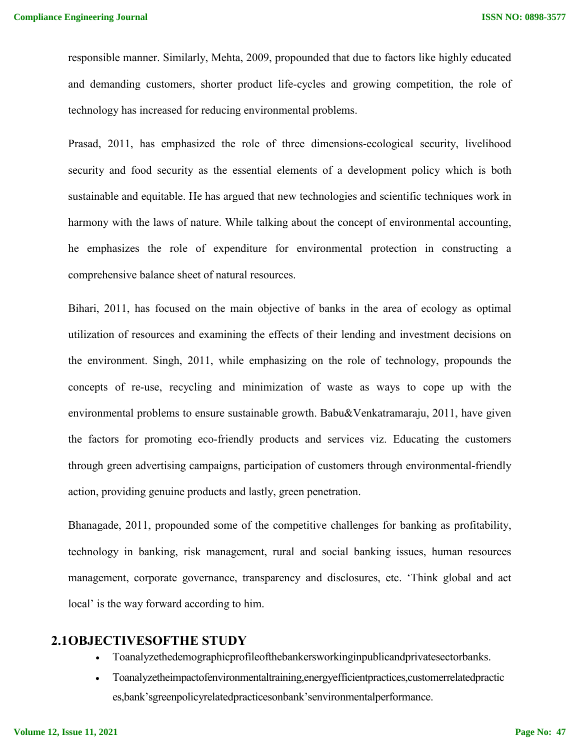responsible manner. Similarly, Mehta, 2009, propounded that due to factors like highly educated and demanding customers, shorter product life-cycles and growing competition, the role of technology has increased for reducing environmental problems.

Prasad, 2011, has emphasized the role of three dimensions-ecological security, livelihood security and food security as the essential elements of a development policy which is both sustainable and equitable. He has argued that new technologies and scientific techniques work in harmony with the laws of nature. While talking about the concept of environmental accounting, he emphasizes the role of expenditure for environmental protection in constructing a comprehensive balance sheet of natural resources.

Bihari, 2011, has focused on the main objective of banks in the area of ecology as optimal utilization of resources and examining the effects of their lending and investment decisions on the environment. Singh, 2011, while emphasizing on the role of technology, propounds the concepts of re-use, recycling and minimization of waste as ways to cope up with the environmental problems to ensure sustainable growth. Babu&Venkatramaraju, 2011, have given the factors for promoting eco-friendly products and services viz. Educating the customers through green advertising campaigns, participation of customers through environmental-friendly action, providing genuine products and lastly, green penetration.

Bhanagade, 2011, propounded some of the competitive challenges for banking as profitability, technology in banking, risk management, rural and social banking issues, human resources management, corporate governance, transparency and disclosures, etc. 'Think global and act local' is the way forward according to him.

#### **2.1OBJECTIVESOFTHE STUDY**

- Toanalyzethedemographicprofileofthebankersworkinginpublicandprivatesectorbanks.
- Toanalyzetheimpactofenvironmentaltraining,energyefficientpractices,customerrelatedpractic es,bank'sgreenpolicyrelatedpracticesonbank'senvironmentalperformance.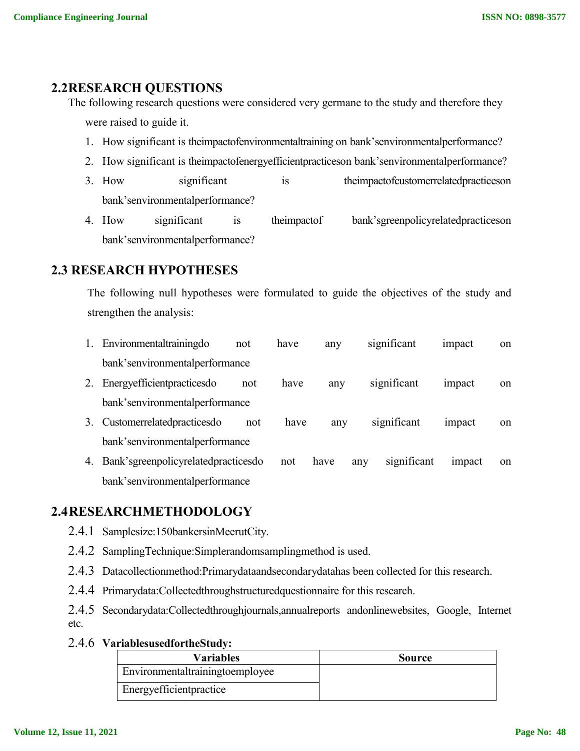# **2.2RESEARCH QUESTIONS**

The following research questions were considered very germane to the study and therefore they were raised to guide it.

- 1. How significant is theimpactofenvironmentaltraining on bank'senvironmentalperformance?
- 2. How significant is theimpactofenergyefficientpracticeson bank'senvironmentalperformance?
- 3. How significant is theimpactofcustomerrelatedpracticeson bank'senvironmentalperformance?
- 4. How significant is theimpactof bank'sgreenpolicyrelatedpracticeson bank'senvironmentalperformance?

# **2.3 RESEARCH HYPOTHESES**

The following null hypotheses were formulated to guide the objectives of the study and strengthen the analysis:

- 1. Environmentaltrainingdo not have any significant impact on bank'senvironmentalperformance
- 2. Energyefficientpracticesdo not have any significant impact on bank'senvironmentalperformance
- 3. Customerrelatedpracticesdo not have any significant impact on bank'senvironmentalperformance
- 4. Bank'sgreenpolicyrelatedpracticesdo not have any significant impact on bank'senvironmentalperformance

# **2.4RESEARCHMETHODOLOGY**

- 2.4.1 Samplesize:150bankersinMeerutCity.
- 2.4.2 SamplingTechnique:Simplerandomsamplingmethod is used.
- 2.4.3 Datacollectionmethod:Primarydataandsecondarydatahas been collected for this research.
- 2.4.4 Primarydata:Collectedthroughstructuredquestionnaire for this research.
- 2.4.5 Secondarydata:Collectedthroughjournals,annualreports andonlinewebsites, Google, Internet etc.

### 2.4.6 **VariablesusedfortheStudy:**

| Variables                       | Source |
|---------------------------------|--------|
| Environmentaltrainingtoemployee |        |
| Energy efficient practice       |        |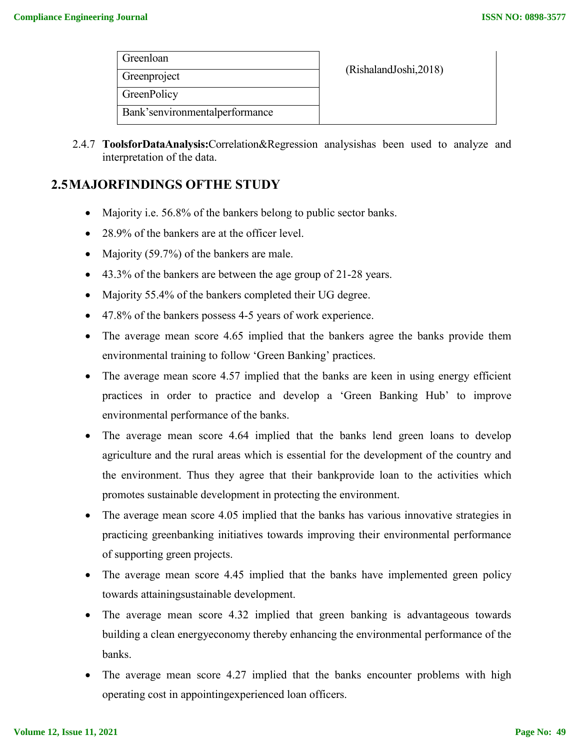| Greenloan                        |                        |
|----------------------------------|------------------------|
| Greenproject                     | (RishalandJoshi, 2018) |
| GreenPolicy                      |                        |
| Bank's environmental performance |                        |

2.4.7 **ToolsforDataAnalysis:**Correlation&Regression analysishas been used to analyze and interpretation of the data.

# **2.5MAJORFINDINGS OFTHE STUDY**

- Majority i.e. 56.8% of the bankers belong to public sector banks.
- 28.9% of the bankers are at the officer level.
- Majority (59.7%) of the bankers are male.
- 43.3% of the bankers are between the age group of 21-28 years.
- Majority 55.4% of the bankers completed their UG degree.
- 47.8% of the bankers possess 4-5 years of work experience.
- The average mean score 4.65 implied that the bankers agree the banks provide them environmental training to follow 'Green Banking' practices.
- The average mean score 4.57 implied that the banks are keen in using energy efficient practices in order to practice and develop a 'Green Banking Hub' to improve environmental performance of the banks.
- The average mean score 4.64 implied that the banks lend green loans to develop agriculture and the rural areas which is essential for the development of the country and the environment. Thus they agree that their bankprovide loan to the activities which promotes sustainable development in protecting the environment.
- The average mean score 4.05 implied that the banks has various innovative strategies in practicing greenbanking initiatives towards improving their environmental performance of supporting green projects.
- The average mean score 4.45 implied that the banks have implemented green policy towards attainingsustainable development.
- The average mean score 4.32 implied that green banking is advantageous towards building a clean energyeconomy thereby enhancing the environmental performance of the banks.
- The average mean score 4.27 implied that the banks encounter problems with high operating cost in appointingexperienced loan officers.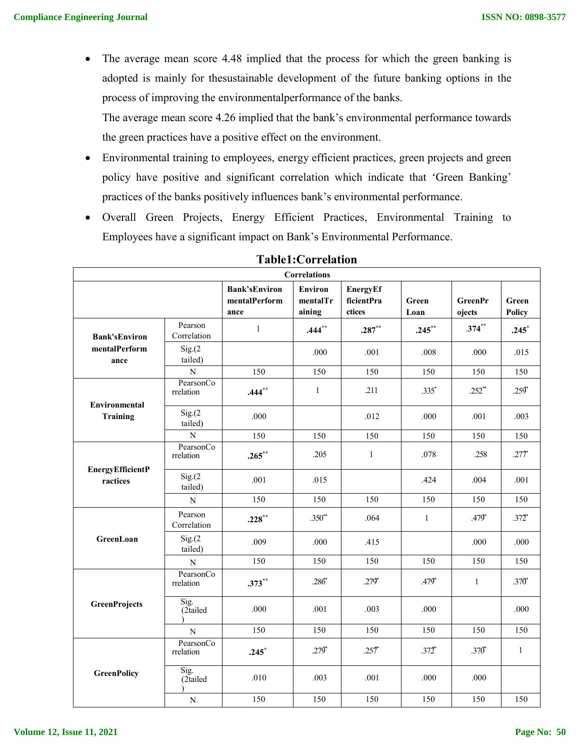• The average mean score 4.48 implied that the process for which the green banking is adopted is mainly for thesustainable development of the future banking options in the process of improving the environmentalperformance of the banks.

The average mean score 4.26 implied that the bank's environmental performance towards the green practices have a positive effect on the environment.

- Environmental training to employees, energy efficient practices, green projects and green policy have positive and significant correlation which indicate that 'Green Banking' practices of the banks positively influences bank's environmental performance.
- Overall Green Projects, Energy Efficient Practices, Environmental Training to Employees have a significant impact on Bank's Environmental Performance.

| <b>Correlations</b>                 |                        |                                               |                                      |                                  |               |                          |                 |  |
|-------------------------------------|------------------------|-----------------------------------------------|--------------------------------------|----------------------------------|---------------|--------------------------|-----------------|--|
|                                     |                        | <b>Bank'sEnviron</b><br>mentalPerform<br>ance | <b>Environ</b><br>mentalTr<br>aining | EnergyEf<br>ficientPra<br>ctices | Green<br>Loan | <b>GreenPr</b><br>ojects | Green<br>Policy |  |
| <b>Bank'sEnviron</b>                | Pearson<br>Correlation | $\mathbf{1}$                                  | $.444***$                            | $.287**$                         | $.245***$     | $.374***$                | $.245*$         |  |
| mentalPerform<br>ance               | Sig(2)<br>tailed)      |                                               | .000                                 | .001                             | .008          | .000                     | .015            |  |
|                                     | ${\bf N}$              | 150                                           | 150                                  | 150                              | 150           | 150                      | 150             |  |
| Environmental                       | PearsonCo<br>rrelation | $.444$ <sup>**</sup>                          | $\mathbf{1}$                         | .211                             | $.335*$       | $.252**$                 | $.259*$         |  |
| Training                            | Sig(2)<br>tailed)      | .000                                          |                                      | .012                             | .000          | .001                     | .003            |  |
|                                     | $\overline{N}$         | 150                                           | 150                                  | 150                              | 150           | 150                      | 150             |  |
|                                     | PearsonCo<br>rrelation | $.265***$                                     | .205                                 | $\mathbf{1}$                     | .078          | .258                     | $.277*$         |  |
| <b>EnergyEfficientP</b><br>ractices | Sig(2)<br>tailed)      | .001                                          | .015                                 |                                  | .424          | .004                     | .001            |  |
|                                     | ${\bf N}$              | 150                                           | 150                                  | 150                              | 150           | 150                      | 150             |  |
|                                     | Pearson<br>Correlation | $.228***$                                     | $.350^{**}$                          | .064                             | $\mathbf{1}$  | $.479*$                  | $.372^{*}$      |  |
| GreenLoan                           | Sig(2)<br>tailed)      | .009                                          | .000                                 | .415                             |               | .000                     | .000            |  |
|                                     | ${\bf N}$              | 150                                           | 150                                  | 150                              | 150           | 150                      | 150             |  |
|                                     | PearsonCo<br>rrelation | $.373**$                                      | $.286*$                              | $.279*$                          | $.479*$       | $\mathbf{1}$             | $.370*$         |  |
| <b>GreenProjects</b>                | Sig.<br>(2tailed       | .000                                          | .001                                 | .003                             | .000          |                          | .000            |  |
|                                     | $\overline{N}$         | 150                                           | 150                                  | 150                              | 150           | 150                      | 150             |  |
|                                     | PearsonCo<br>rrelation | $.245*$                                       | $.279*$                              | .257                             | $.372^{*}$    | $.370*$                  | $\mathbf{1}$    |  |
| <b>GreenPolicy</b>                  | Sig.<br>(2tailed       | .010                                          | .003                                 | .001                             | .000          | .000                     |                 |  |
|                                     | ${\bf N}$              | 150                                           | 150                                  | 150                              | 150           | 150                      | 150             |  |

### **Table1:Correlation**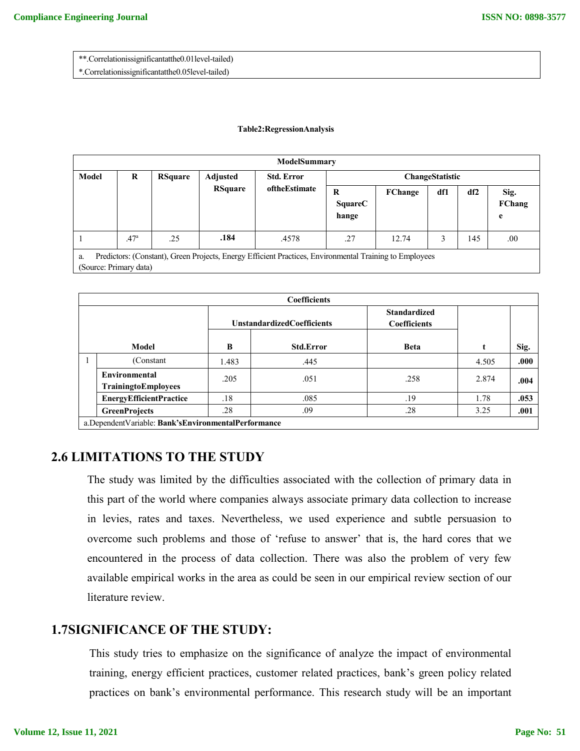\*\*.Correlationissignificantatthe0.01level-tailed)

\*.Correlationissignificantatthe0.05level-tailed)

#### **Table2:RegressionAnalysis**

| ModelSummary                                                                                                                            |                  |                |                                   |                                    |                              |         |     |     |                     |
|-----------------------------------------------------------------------------------------------------------------------------------------|------------------|----------------|-----------------------------------|------------------------------------|------------------------------|---------|-----|-----|---------------------|
| Model                                                                                                                                   | R                | <b>RSquare</b> | <b>Adjusted</b><br><b>RSquare</b> | <b>Std. Error</b><br>oftheEstimate | ChangeStatistic              |         |     |     |                     |
|                                                                                                                                         |                  |                |                                   |                                    | R<br><b>SquareC</b><br>hange | FChange | df1 | df2 | Sig.<br>FChang<br>e |
|                                                                                                                                         | .47 <sup>a</sup> | .25            | .184                              | .4578                              | .27                          | 12.74   | 3   | 145 | .00                 |
| Predictors: (Constant), Green Projects, Energy Efficient Practices, Environmental Training to Employees<br>a.<br>(Source: Primary data) |                  |                |                                   |                                    |                              |         |     |     |                     |

|  | <b>Coefficients</b>                                             |       |                                   |                                            |       |      |  |  |  |  |
|--|-----------------------------------------------------------------|-------|-----------------------------------|--------------------------------------------|-------|------|--|--|--|--|
|  |                                                                 |       | <b>UnstandardizedCoefficients</b> | <b>Standardized</b><br><b>Coefficients</b> |       |      |  |  |  |  |
|  | Model                                                           | B     | <b>Std.Error</b>                  | <b>Beta</b>                                |       | Sig. |  |  |  |  |
|  | (Constant                                                       | 1.483 | .445                              |                                            | 4.505 | .000 |  |  |  |  |
|  | Environmental<br>TrainingtoEmployees                            | .205  | .051                              | .258                                       | 2.874 | .004 |  |  |  |  |
|  | <b>EnergyEfficientPractice</b>                                  | .18   | .085                              | .19                                        | 1.78  | .053 |  |  |  |  |
|  | <b>GreenProjects</b>                                            | .28   | .09                               | .28                                        | 3.25  | .001 |  |  |  |  |
|  | $\sim$ Denombert Unit Line Deal Matthews and the Hander measure |       |                                   |                                            |       |      |  |  |  |  |

a.DependentVariable: **Bank'sEnvironmentalPerformance**

## **2.6 LIMITATIONS TO THE STUDY**

The study was limited by the difficulties associated with the collection of primary data in this part of the world where companies always associate primary data collection to increase in levies, rates and taxes. Nevertheless, we used experience and subtle persuasion to overcome such problems and those of 'refuse to answer' that is, the hard cores that we encountered in the process of data collection. There was also the problem of very few available empirical works in the area as could be seen in our empirical review section of our literature review.

# **1.7SIGNIFICANCE OF THE STUDY:**

This study tries to emphasize on the significance of analyze the impact of environmental training, energy efficient practices, customer related practices, bank's green policy related practices on bank's environmental performance. This research study will be an important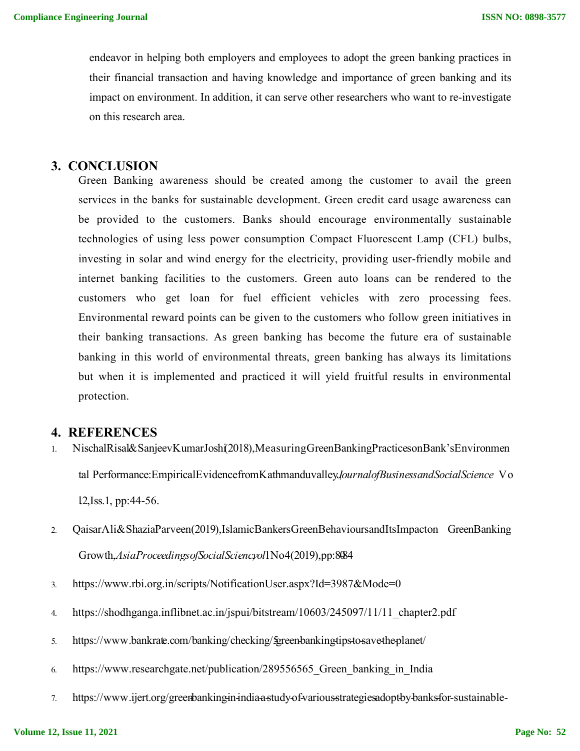endeavor in helping both employers and employees to adopt the green banking practices in their financial transaction and having knowledge and importance of green banking and its impact on environment. In addition, it can serve other researchers who want to re-investigate on this research area.

#### **3. CONCLUSION**

Green Banking awareness should be created among the customer to avail the green services in the banks for sustainable development. Green credit card usage awareness can be provided to the customers. Banks should encourage environmentally sustainable technologies of using less power consumption Compact Fluorescent Lamp (CFL) bulbs, investing in solar and wind energy for the electricity, providing user-friendly mobile and internet banking facilities to the customers. Green auto loans can be rendered to the customers who get loan for fuel efficient vehicles with zero processing fees. Environmental reward points can be given to the customers who follow green initiatives in their banking transactions. As green banking has become the future era of sustainable banking in this world of environmental threats, green banking has always its limitations but when it is implemented and practiced it will yield fruitful results in environmental protection.

#### **4. REFERENCES**

- 1. NischalRisal&SanjeevKumarJoshi(2018),MeasuringGreenBankingPracticesonBank'sEnvironmen tal Performance:EmpiricalEvidencefromKathmanduvalley*J*,*ournalofBusinessandSocialScience* V o l.2,Iss.1, pp:44-56.
- 2. QaisarAli&ShaziaParveen(2019),IslamicBankersGreenBehavioursandItsImpacton GreenBanking Growth,*AsiaProceedingsofSocialSciencyol*1No4(2019),pp:8084
- 3. https://www.rbi.org.in/scripts/NotificationUser.aspx?Id=3987&Mode=0
- 4. https://shodhganga.inflibnet.ac.in/jspui/bitstream/10603/245097/11/11 chapter2.pdf
- 5. https://www.bankrate.com/banking/checking/5green-banking-tips-to-save-the-planet/
- 6. https://www.researchgate.net/publication/289556565 Green banking in India
- 7. https://www.ijert.org/greenbanking-in-india-a-study-of-various-strategies-adopt-by-banks-for-sustainable-